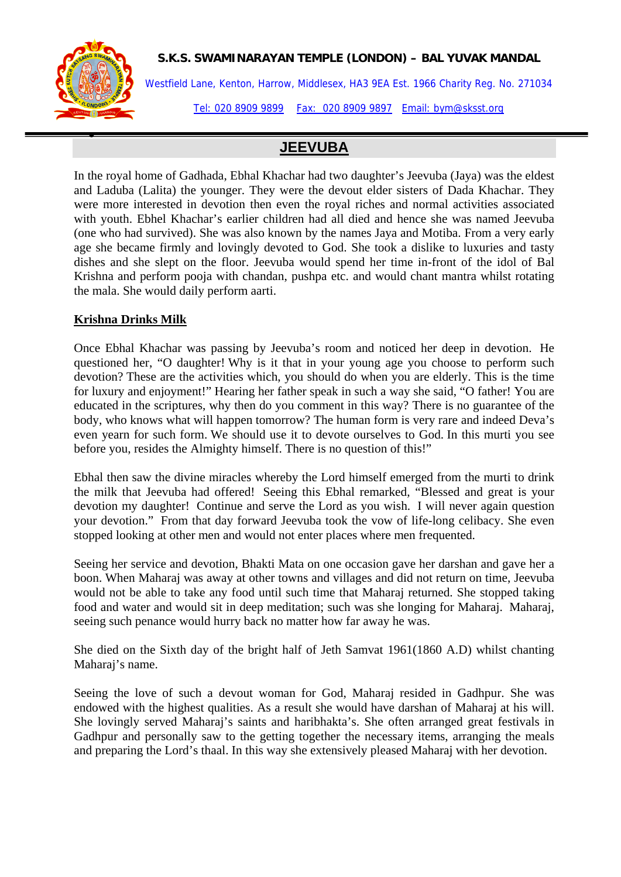•

### **S.K.S. SWAMINARAYAN TEMPLE (LONDON) – BAL YUVAK MANDAL**

Westfield Lane, Kenton, Harrow, Middlesex, HA3 9EA Est. 1966 Charity Reg. No. 271034 Tel: 020 8909 9899 Fax: 020 8909 9897 Email: bym@sksst.org

# **JEEVUBA**

In the royal home of Gadhada, Ebhal Khachar had two daughter's Jeevuba (Jaya) was the eldest and Laduba (Lalita) the younger. They were the devout elder sisters of Dada Khachar. They were more interested in devotion then even the royal riches and normal activities associated with youth. Ebhel Khachar's earlier children had all died and hence she was named Jeevuba (one who had survived). She was also known by the names Jaya and Motiba. From a very early age she became firmly and lovingly devoted to God. She took a dislike to luxuries and tasty dishes and she slept on the floor. Jeevuba would spend her time in-front of the idol of Bal Krishna and perform pooja with chandan, pushpa etc. and would chant mantra whilst rotating the mala. She would daily perform aarti.

## **Krishna Drinks Milk**

Once Ebhal Khachar was passing by Jeevuba's room and noticed her deep in devotion. He questioned her, "O daughter! Why is it that in your young age you choose to perform such devotion? These are the activities which, you should do when you are elderly. This is the time for luxury and enjoyment!" Hearing her father speak in such a way she said, "O father! You are educated in the scriptures, why then do you comment in this way? There is no guarantee of the body, who knows what will happen tomorrow? The human form is very rare and indeed Deva's even yearn for such form. We should use it to devote ourselves to God. In this murti you see before you, resides the Almighty himself. There is no question of this!"

Ebhal then saw the divine miracles whereby the Lord himself emerged from the murti to drink the milk that Jeevuba had offered! Seeing this Ebhal remarked, "Blessed and great is your devotion my daughter! Continue and serve the Lord as you wish. I will never again question your devotion." From that day forward Jeevuba took the vow of life-long celibacy. She even stopped looking at other men and would not enter places where men frequented.

Seeing her service and devotion, Bhakti Mata on one occasion gave her darshan and gave her a boon. When Maharaj was away at other towns and villages and did not return on time, Jeevuba would not be able to take any food until such time that Maharaj returned. She stopped taking food and water and would sit in deep meditation; such was she longing for Maharaj. Maharaj, seeing such penance would hurry back no matter how far away he was.

She died on the Sixth day of the bright half of Jeth Samvat 1961(1860 A.D) whilst chanting Maharaj's name.

Seeing the love of such a devout woman for God, Maharaj resided in Gadhpur. She was endowed with the highest qualities. As a result she would have darshan of Maharaj at his will. She lovingly served Maharaj's saints and haribhakta's. She often arranged great festivals in Gadhpur and personally saw to the getting together the necessary items, arranging the meals and preparing the Lord's thaal. In this way she extensively pleased Maharaj with her devotion.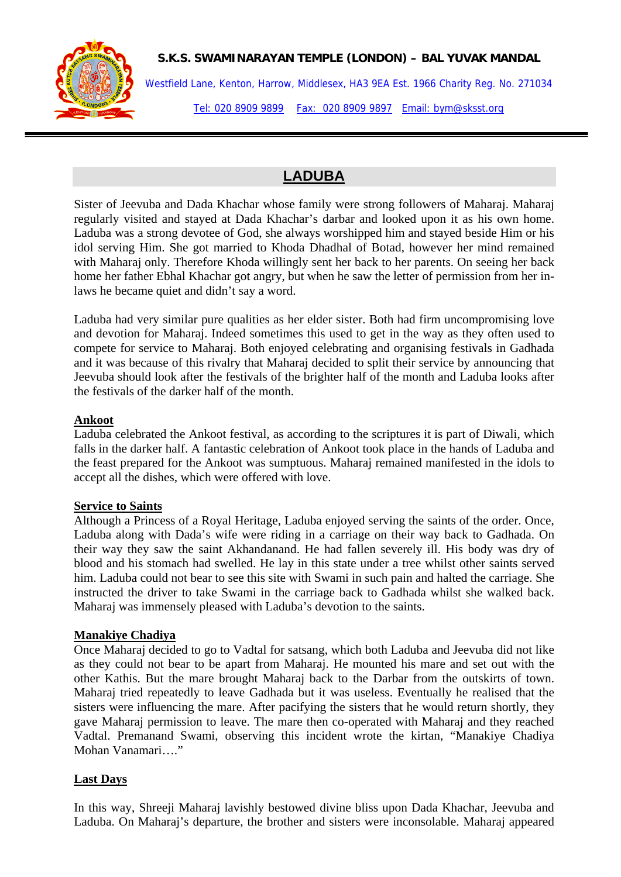### **S.K.S. SWAMINARAYAN TEMPLE (LONDON) – BAL YUVAK MANDAL**

Westfield Lane, Kenton, Harrow, Middlesex, HA3 9EA Est. 1966 Charity Reg. No. 271034 Tel: 020 8909 9899 Fax: 020 8909 9897 Email: bym@sksst.org

# **LADUBA**

Sister of Jeevuba and Dada Khachar whose family were strong followers of Maharaj. Maharaj regularly visited and stayed at Dada Khachar's darbar and looked upon it as his own home. Laduba was a strong devotee of God, she always worshipped him and stayed beside Him or his idol serving Him. She got married to Khoda Dhadhal of Botad, however her mind remained with Maharaj only. Therefore Khoda willingly sent her back to her parents. On seeing her back home her father Ebhal Khachar got angry, but when he saw the letter of permission from her inlaws he became quiet and didn't say a word.

Laduba had very similar pure qualities as her elder sister. Both had firm uncompromising love and devotion for Maharaj. Indeed sometimes this used to get in the way as they often used to compete for service to Maharaj. Both enjoyed celebrating and organising festivals in Gadhada and it was because of this rivalry that Maharaj decided to split their service by announcing that Jeevuba should look after the festivals of the brighter half of the month and Laduba looks after the festivals of the darker half of the month.

## **Ankoot**

Laduba celebrated the Ankoot festival, as according to the scriptures it is part of Diwali, which falls in the darker half. A fantastic celebration of Ankoot took place in the hands of Laduba and the feast prepared for the Ankoot was sumptuous. Maharaj remained manifested in the idols to accept all the dishes, which were offered with love.

## **Service to Saints**

Although a Princess of a Royal Heritage, Laduba enjoyed serving the saints of the order. Once, Laduba along with Dada's wife were riding in a carriage on their way back to Gadhada. On their way they saw the saint Akhandanand. He had fallen severely ill. His body was dry of blood and his stomach had swelled. He lay in this state under a tree whilst other saints served him. Laduba could not bear to see this site with Swami in such pain and halted the carriage. She instructed the driver to take Swami in the carriage back to Gadhada whilst she walked back. Maharaj was immensely pleased with Laduba's devotion to the saints.

## **Manakiye Chadiya**

Once Maharaj decided to go to Vadtal for satsang, which both Laduba and Jeevuba did not like as they could not bear to be apart from Maharaj. He mounted his mare and set out with the other Kathis. But the mare brought Maharaj back to the Darbar from the outskirts of town. Maharaj tried repeatedly to leave Gadhada but it was useless. Eventually he realised that the sisters were influencing the mare. After pacifying the sisters that he would return shortly, they gave Maharaj permission to leave. The mare then co-operated with Maharaj and they reached Vadtal. Premanand Swami, observing this incident wrote the kirtan, "Manakiye Chadiya Mohan Vanamari…."

## **Last Days**

In this way, Shreeji Maharaj lavishly bestowed divine bliss upon Dada Khachar, Jeevuba and Laduba. On Maharaj's departure, the brother and sisters were inconsolable. Maharaj appeared